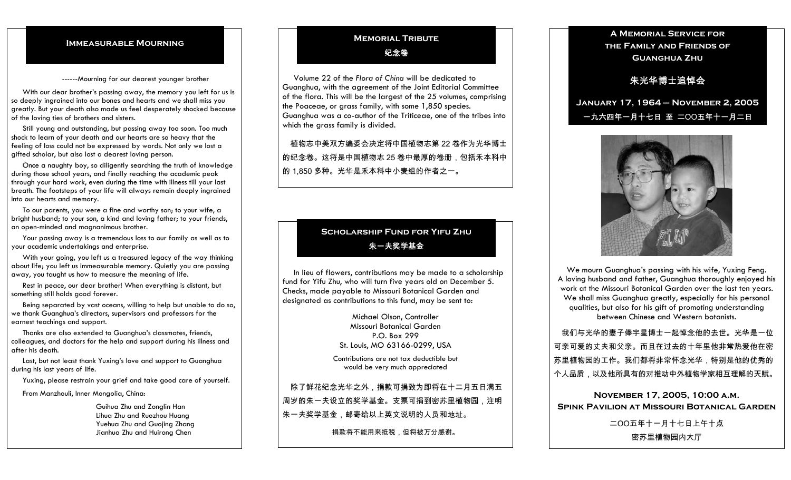#### **Immeasurable Mourning**

------Mourning for our dearest younger brother

With our dear brother's passing away, the memory you left for us is so deeply ingrained into our bones and hearts and we shall miss you greatly. But your death also made us feel desperately shocked because of the loving ties of brothers and sisters.

Still young and outstanding, but passing away too soon. Too much shock to learn of your death and our hearts are so heavy that the feeling of loss could not be expressed by words. Not only we lost a gifted scholar, but also lost a dearest loving person.

Once a naughty boy, so diligently searching the truth of knowledge during those school years, and finally reaching the academic peak through your hard work, even during the time with illness till your last breath. The footsteps of your life will always remain deeply ingrained into our hearts and memory.

To our parents, you were a fine and worthy son; to your wife, a bright husband; to your son, a kind and loving father; to your friends, an open-minded and magnanimous brother.

Your passing away is a tremendous loss to our family as well as to your academic undertakings and enterprise.

With your going, you left us a treasured legacy of the way thinking about life; you left us immeasurable memory. Quietly you are passing away, you taught us how to measure the meaning of life.

Rest in peace, our dear brother! When everything is distant, but something still holds good forever.

Being separated by vast oceans, willing to help but unable to do so, we thank Guanghua's directors, supervisors and professors for the earnest teachings and support.

Thanks are also extended to Guanghua's classmates, friends, colleagues, and doctors for the help and support during his illness and after his death.

Last, but not least thank Yuxing's love and support to Guanghua during his last years of life.

Yuxing, please restrain your grief and take good care of yourself.

From Manzhouli, Inner Mongolia, China:

 Guihua Zhu and Zonglin Han Lihua Zhu and Ruozhou Huang Yuehua Zhu and Guojing Zhang Jianhua Zhu and Huirong Chen

# **Memorial Tribute**

纪念卷

Volume 22 of the *Flora of China* will be dedicated to Guanghua, with the agreement of the Joint Editorial Committee of the flora. This will be the largest of the 25 volumes, comprising the Poaceae, or grass family, with some 1,850 species. Guanghua was a co-author of the Triticeae, one of the tribes into which the grass family is divided.

植物志中美双方编委会决定将中国植物志第 22 卷作为光华博士 的纪念卷。这将是中国植物志 25 卷中最厚的卷册,包括禾本科中 的 1,850 多种。光华是禾本科中小麦组的作者之一。

# **Scholarship Fund for Yifu Zhu**  朱一夫奖学基金

In lieu of flowers, contributions may be made to a scholarship fund for Yifu Zhu, who will turn five years old on December 5. Checks, made payable to Missouri Botanical Garden and designated as contributions to this fund, may be sent to:

> Michael Olson, Controller Missouri Botanical Garden P.O. Box 299 St. Louis, MO 63166-0299, USA

Contributions are not tax deductible but would be very much appreciated

除了鲜花纪念光华之外,捐款可捐致为即将在十二月五日满五 周岁的朱一夫设立的奖学基金。支票可捐到密苏里植物园,注明 朱一夫奖学基金,邮寄给以上英文说明的人员和地址。

捐款将不能用来抵税,但将被万分感谢。

## **A Memorial Service for the Family and Friends of Guanghua Zhu**

# 朱光华博士追悼会

**January 17, 1964 – November 2, 2005**  一九六四年一月十七日 至 二OO五年十一月二日



We mourn Guanghua's passing with his wife, Yuxing Feng. A loving husband and father, Guanghua thoroughly enjoyed his work at the Missouri Botanical Garden over the last ten years. We shall miss Guanghua greatly, especially for his personal qualities, but also for his gift of promoting understanding between Chinese and Western botanists.

我们与光华的妻子俸宇星博士一起悼念他的去世。光华是一位可亲可爱的丈夫和父亲。而且在过去的十年里他非常热爱他在密苏里植物园的工作。我们都将非常怀念光华,特别是他的优秀的 个人品质,以及他所具有的对推动中外植物学家相互理解的天赋。

**November 17, 2005, 10:00 a.m. Spink Pavilion at Missouri Botanical Garden**  二OO五年十一月十七日上午十点

密苏里植物园内大厅